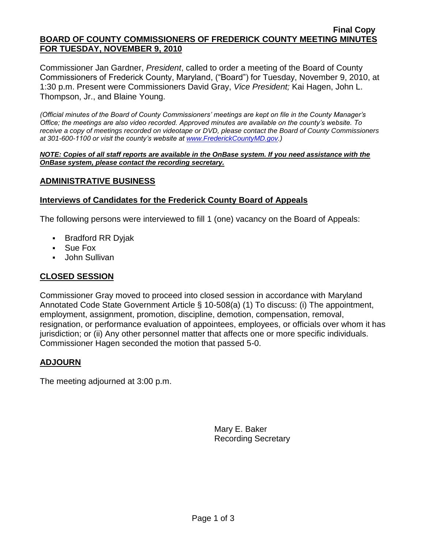#### **Final Copy BOARD OF COUNTY COMMISSIONERS OF FREDERICK COUNTY MEETING MINUTES FOR TUESDAY, NOVEMBER 9, 2010**

Commissioner Jan Gardner, *President*, called to order a meeting of the Board of County Commissioners of Frederick County, Maryland, ("Board") for Tuesday, November 9, 2010, at 1:30 p.m. Present were Commissioners David Gray, *Vice President;* Kai Hagen, John L. Thompson, Jr., and Blaine Young.

*(Official minutes of the Board of County Commissioners' meetings are kept on file in the County Manager's Office; the meetings are also video recorded. Approved minutes are available on the county's website. To receive a copy of meetings recorded on videotape or DVD, please contact the Board of County Commissioners at 301-600-1100 or visit the county's website at [www.FrederickCountyMD.gov.](http://www.frederickcountymd.gov/))*

#### *NOTE: Copies of all staff reports are available in the OnBase system. If you need assistance with the OnBase system, please contact the recording secretary.*

# **ADMINISTRATIVE BUSINESS**

# **Interviews of Candidates for the Frederick County Board of Appeals**

The following persons were interviewed to fill 1 (one) vacancy on the Board of Appeals:

- Bradford RR Dyjak
- Sue Fox
- **John Sullivan**

# **CLOSED SESSION**

Commissioner Gray moved to proceed into closed session in accordance with Maryland Annotated Code State Government Article § 10-508(a) (1) To discuss: (i) The appointment, employment, assignment, promotion, discipline, demotion, compensation, removal, resignation, or performance evaluation of appointees, employees, or officials over whom it has jurisdiction; or (ii) Any other personnel matter that affects one or more specific individuals. Commissioner Hagen seconded the motion that passed 5-0.

# **ADJOURN**

The meeting adjourned at 3:00 p.m.

Mary E. Baker Recording Secretary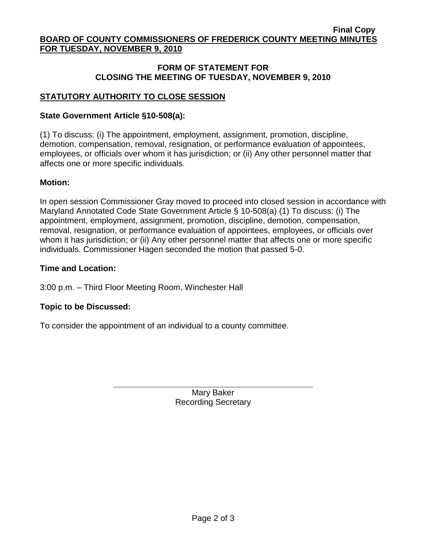# **FORM OF STATEMENT FOR CLOSING THE MEETING OF TUESDAY, NOVEMBER 9, 2010**

# **STATUTORY AUTHORITY TO CLOSE SESSION**

# **State Government Article §10-508(a):**

(1) To discuss: (i) The appointment, employment, assignment, promotion, discipline, demotion, compensation, removal, resignation, or performance evaluation of appointees, employees, or officials over whom it has jurisdiction; or (ii) Any other personnel matter that affects one or more specific individuals.

# **Motion:**

In open session Commissioner Gray moved to proceed into closed session in accordance with Maryland Annotated Code State Government Article § 10-508(a) (1) To discuss: (i) The appointment, employment, assignment, promotion, discipline, demotion, compensation, removal, resignation, or performance evaluation of appointees, employees, or officials over whom it has jurisdiction; or (ii) Any other personnel matter that affects one or more specific individuals. Commissioner Hagen seconded the motion that passed 5-0.

### **Time and Location:**

3:00 p.m. – Third Floor Meeting Room, Winchester Hall

# **Topic to be Discussed:**

To consider the appointment of an individual to a county committee.

Mary Baker Recording Secretary